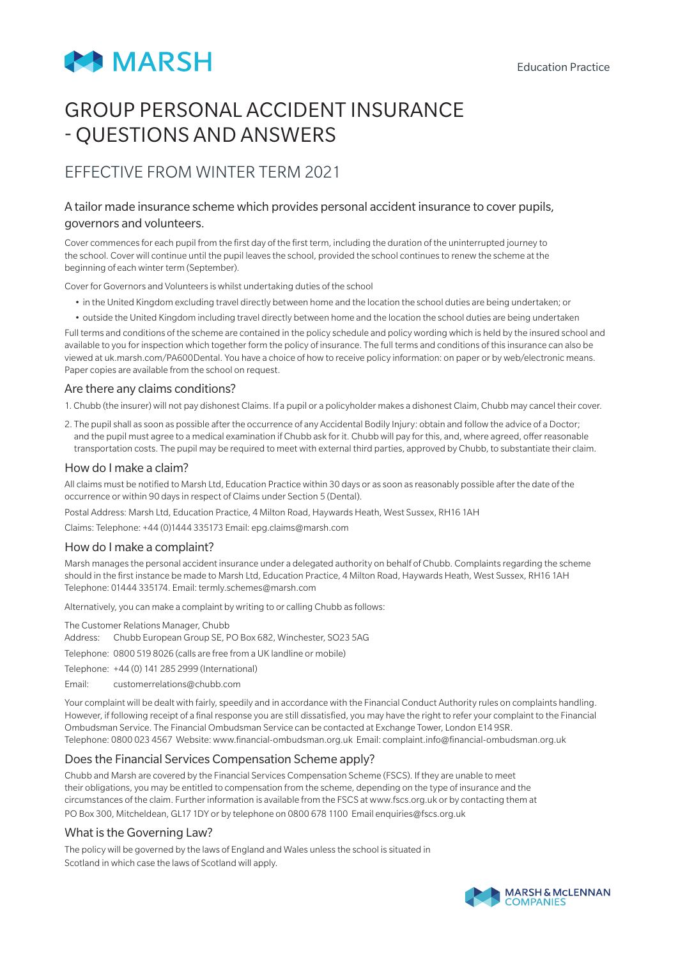

# GROUP PERSONAL ACCIDENT INSURANCE - QUESTIONS AND ANSWERS

# EFFECTIVE FROM WINTER TERM 2021

## A tailor made insurance scheme which provides personal accident insurance to cover pupils, governors and volunteers.

Cover commences for each pupil from the first day of the first term, including the duration of the uninterrupted journey to the school. Cover will continue until the pupil leaves the school, provided the school continues to renew the scheme at the beginning of each winter term (September).

Cover for Governors and Volunteers is whilst undertaking duties of the school

- in the United Kingdom excluding travel directly between home and the location the school duties are being undertaken; or
- outside the United Kingdom including travel directly between home and the location the school duties are being undertaken

Full terms and conditions of the scheme are contained in the policy schedule and policy wording which is held by the insured school and available to you for inspection which together form the policy of insurance. The full terms and conditions of this insurance can also be viewed at uk.marsh.com/PA600Dental. You have a choice of how to receive policy information: on paper or by web/electronic means. Paper copies are available from the school on request.

#### Are there any claims conditions?

1. Chubb (the insurer) will not pay dishonest Claims. If a pupil or a policyholder makes a dishonest Claim, Chubb may cancel their cover.

2. The pupil shall as soon as possible after the occurrence of any Accidental Bodily Injury: obtain and follow the advice of a Doctor; and the pupil must agree to a medical examination if Chubb ask for it. Chubb will pay for this, and, where agreed, offer reasonable transportation costs. The pupil may be required to meet with external third parties, approved by Chubb, to substantiate their claim.

#### How do I make a claim?

All claims must be notified to Marsh Ltd, Education Practice within 30 days or as soon as reasonably possible after the date of the occurrence or within 90 days in respect of Claims under Section 5 (Dental).

Postal Address: Marsh Ltd, Education Practice, 4 Milton Road, Haywards Heath, West Sussex, RH16 1AH

Claims: Telephone: +44 (0)1444 335173 Email: epg.claims@marsh.com

#### How do I make a complaint?

Marsh manages the personal accident insurance under a delegated authority on behalf of Chubb. Complaints regarding the scheme should in the first instance be made to Marsh Ltd, Education Practice, 4 Milton Road, Haywards Heath, West Sussex, RH16 1AH Telephone: 01444 335174. Email: termly.schemes@marsh.com

Alternatively, you can make a complaint by writing to or calling Chubb as follows:

The Customer Relations Manager, Chubb

Address: Chubb European Group SE, PO Box 682, Winchester, SO23 5AG

Telephone: 0800 519 8026 (calls are free from a UK landline or mobile)

- Telephone: +44 (0) 141 285 2999 (International)
- Email: customerrelations@chubb.com

Your complaint will be dealt with fairly, speedily and in accordance with the Financial Conduct Authority rules on complaints handling. However, if following receipt of a final response you are still dissatisfied, you may have the right to refer your complaint to the Financial Ombudsman Service. The Financial Ombudsman Service can be contacted at Exchange Tower, London E14 9SR. Telephone: 0800 023 4567 Website: www.financial-ombudsman.org.uk Email: complaint.info@financial-ombudsman.org.uk

#### Does the Financial Services Compensation Scheme apply?

Chubb and Marsh are covered by the Financial Services Compensation Scheme (FSCS). If they are unable to meet their obligations, you may be entitled to compensation from the scheme, depending on the type of insurance and the circumstances of the claim. Further information is available from the FSCS at www.fscs.org.uk or by contacting them at PO Box 300, Mitcheldean, GL17 1DY or by telephone on 0800 678 1100 Email enquiries@fscs.org.uk

#### What is the Governing Law?

The policy will be governed by the laws of England and Wales unless the school is situated in Scotland in which case the laws of Scotland will apply.